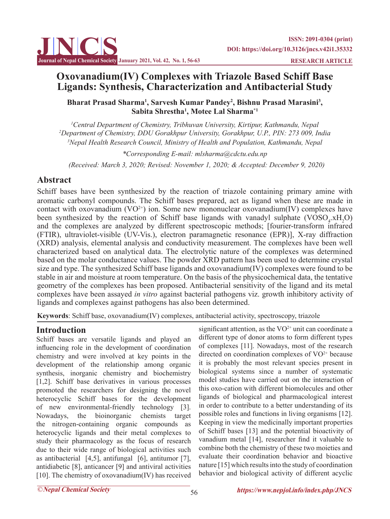# **Oxovanadium(IV) Complexes with Triazole Based Schiff Base Ligands: Synthesis, Characterization and Antibacterial Study**

Bharat Prasad Sharma<sup>1</sup>, Sarvesh Kumar Pandey<sup>2</sup>, Bishnu Prasad Marasini<sup>3</sup>, **Sabita Shrestha1 , Motee Lal Sharma\*1**

*1 Central Department of Chemistry, Tribhuvan University, Kirtipur, Kathmandu, Nepal 2 Department of Chemistry, DDU Gorakhpur University, Gorakhpur, U.P., PIN: 273 009, India 3 Nepal Health Research Council, Ministry of Health and Population, Kathmandu, Nepal*

*\*Corresponding E-mail: mlsharma@cdctu.edu.np (Received: March 3, 2020; Revised: November 1, 2020; & Accepted: December 9, 2020)*

# **Abstract**

Schiff bases have been synthesized by the reaction of triazole containing primary amine with aromatic carbonyl compounds. The Schiff bases prepared, act as ligand when these are made in contact with oxovanadium  $(VO^{2+})$  ion. Some new mononuclear oxovanadium(IV) complexes have been synthesized by the reaction of Schiff base ligands with vanadyl sulphate  $(VOSO<sub>4</sub>.xH<sub>2</sub>O)$ and the complexes are analyzed by different spectroscopic methods; [fourier-transform infrared (FTIR), ultraviolet-visible (UV-Vis.), electron paramagnetic resonance (EPR)], X-ray diffraction (XRD) analysis, elemental analysis and conductivity measurement. The complexes have been well characterized based on analytical data. The electrolytic nature of the complexes was determined based on the molar conductance values. The powder XRD pattern has been used to determine crystal size and type. The synthesized Schiff base ligands and oxovanadium(IV) complexes were found to be stable in air and moisture at room temperature. On the basis of the physicochemical data, the tentative geometry of the complexes has been proposed. Antibacterial sensitivity of the ligand and its metal complexes have been assayed *in vitro* against bacterial pathogens viz. growth inhibitory activity of ligands and complexes against pathogens has also been determined.

**Keywords**: Schiff base, oxovanadium(IV) complexes, antibacterial activity, spectroscopy, triazole

# **Introduction**

Schiff bases are versatile ligands and played an influencing role in the development of coordination chemistry and were involved at key points in the development of the relationship among organic synthesis, inorganic chemistry and biochemistry [1,2]. Schiff base derivatives in various processes promoted the researchers for designing the novel heterocyclic Schiff bases for the development of new environmental-friendly technology [3]. Nowadays, the bioinorganic chemists target the nitrogen-containing organic compounds as heterocyclic ligands and their metal complexes to study their pharmacology as the focus of research due to their wide range of biological activities such as antibacterial  $[4,5]$ , antifungal  $[6]$ , antitumor  $[7]$ , antidiabetic [8], anticancer [9] and antiviral activities [10]. The chemistry of oxovanadium(IV) has received

significant attention, as the  $VO^{2+}$  unit can coordinate a different type of donor atoms to form different types of complexes [11]. Nowadays, most of the research directed on coordination complexes of  $VO<sup>2+</sup>$  because it is probably the most relevant species present in biological systems since a number of systematic model studies have carried out on the interaction of this oxo-cation with different biomolecules and other ligands of biological and pharmacological interest in order to contribute to a better understanding of its possible roles and functions in living organisms [12]. Keeping in view the medicinally important properties of Schiff bases [13] and the potential bioactivity of vanadium metal [14], researcher find it valuable to combine both the chemistry of these two moieties and evaluate their coordination behavior and bioactive nature [15] which results into the study of coordination behavior and biological activity of different acyclic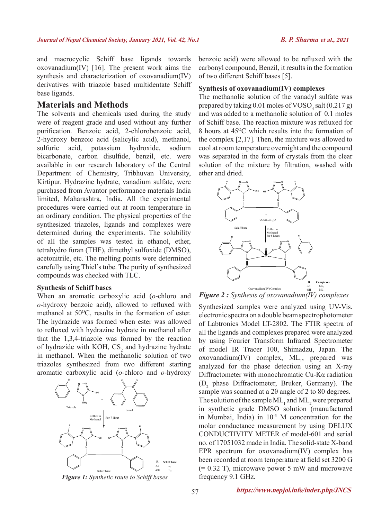and macrocyclic Schiff base ligands towards oxovanadium(IV) [16]. The present work aims the synthesis and characterization of oxovanadium(IV) derivatives with triazole based multidentate Schiff base ligands.

## **Materials and Methods**

The solvents and chemicals used during the study were of reagent grade and used without any further purification. Benzoic acid, 2-chlorobenzoic acid, 2-hydroxy benzoic acid (salicylic acid), methanol, sulfuric acid, potassium hydroxide, sodium bicarbonate, carbon disulfide, benzil, etc. were available in our research laboratory of the Central Department of Chemistry, Tribhuvan University, Kirtipur. Hydrazine hydrate, vanadium sulfate, were purchased from Avantor performance materials India limited, Maharashtra, India. All the experimental procedures were carried out at room temperature in an ordinary condition. The physical properties of the synthesized triazoles, ligands and complexes were determined during the experiments. The solubility of all the samples was tested in ethanol, ether, tetrahydro furan (THF), dimethyl sulfoxide (DMSO), acetonitrile, etc. The melting points were determined carefully using Thiel's tube. The purity of synthesized compounds was checked with TLC.

#### **Synthesis of Schiff bases**

When an aromatic carboxylic acid (*o*-chloro and *o*-hydroxy benzoic acid), allowed to refluxed with methanol at  $50^{\circ}$ C, results in the formation of ester. The hydrazide was formed when ester was allowed to refluxed with hydrazine hydrate in methanol after that the 1,3,4-triazole was formed by the reaction of hydrazide with KOH,  $CS_2$  and hydrazine hydrate in methanol. When the methanolic solution of two triazoles synthesized from two different starting aromatic carboxylic acid (*o*-chloro and *o*-hydroxy



*Figure 1: Synthetic route to Schiff bases*

benzoic acid) were allowed to be refluxed with the carbonyl compound, Benzil, it results in the formation of two different Schiff bases [5].

#### **Synthesis of oxovanadium(IV) complexes**

The methanolic solution of the vanadyl sulfate was prepared by taking  $0.01$  moles of  $VOSO_4$  salt  $(0.217 g)$ and was added to a methanolic solution of 0.1 moles of Schiff base. The reaction mixture was refluxed for 8 hours at 45<sup>o</sup>C which results into the formation of the complex [2,17]. Then, the mixture was allowed to cool at room temperature overnight and the compound was separated in the form of crystals from the clear solution of the mixture by filtration, washed with ether and dried.



*Figure 2*: Synthesis of oxovanadium(IV) complexes

Synthesized samples were analyzed using UV-Vis. electronic spectra on a double beam spectrophotometer of Labtronics Model LT-2802. The FTIR spectra of all the ligands and complexes prepared were analyzed by using Fourier Transform Infrared Spectrometer of model IR Tracer 100, Shimadzu, Japan. The  $oxovanadium(IV)$  complex,  $ML_1$ , prepared was analyzed for the phase detection using an X-ray Diffractometer with monochromatic Cu-Kα radiation  $(D_2)$  phase Diffractometer, Bruker, Germany). The sample was scanned at a 2θ angle of 2 to 80 degrees. The solution of the sample  $ML_1$  and  $ML_2$  were prepared in synthetic grade DMSO solution (manufactured in Mumbai, India) in 10-3 M concentration for the molar conductance measurement by using DELUX CONDUCTIVITY METER of model-601 and serial no. of 17051032 made in India. The solid-state X-band EPR spectrum for oxovanadium(IV) complex has been recorded at room temperature at field set 3200 G  $(= 0.32 \text{ T})$ , microwave power 5 mW and microwave frequency 9.1 GHz.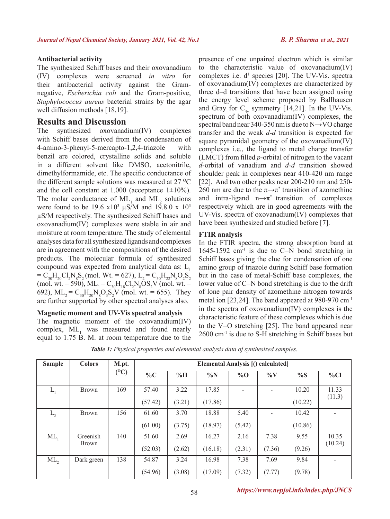### **Antibacterial activity**

The synthesized Schiff bases and their oxovanadium (IV) complexes were screened *in vitro* for their antibacterial activity against the Gramnegative, *Escherichia coli* and the Gram-positive, *Staphylococcus aureus* bacterial strains by the agar well diffusion methods [18,19].

# **Results and Discussion**

The synthesized oxovanadium(IV) complexes with Schiff bases derived from the condensation of 4-amino-3-phenyl-5-mercapto-1,2,4-triazole with benzil are colored, crystalline solids and soluble in a different solvent like DMSO, acetonitrile, dimethylformamide, etc. The specific conductance of the different sample solutions was measured at  $27 \degree C$ and the cell constant at  $1.000$  (acceptance  $1\pm10\%$ ). The molar conductance of  $ML_1$  and  $ML_2$  solutions were found to be 19.6  $\times 10^3$   $\mu$ S/M and 19.8.0 x 10<sup>3</sup> µS/M respectively. The synthesized Schiff bases and oxovanadium(IV) complexes were stable in air and moisture at room temperature. The study of elemental analyses data for all synthesized ligands and complexes are in agreement with the compositions of the desired products. The molecular formula of synthesized compound was expected from analytical data as: L,  $= C_{30}H_{20}Cl_2N_8S_2$  (mol. Wt. = 627),  $L_2 = C_{30}H_{22}N_8O_2S_2$ (mol. wt. = 590),  $ML_1 = C_{30}H_{18}Cl_2N_8OS_2V$  (mol. wt. = 692),  $ML_2 = C_{30}H_{20}N_8O_3S_2V$  (mol. wt. = 655). They are further supported by other spectral analyses also.

## **Magnetic moment and UV-Vis spectral analysis**

The magnetic moment of the oxovanadium(IV)  $complex, ML_1$  was measured and found nearly equal to 1.75 B. M. at room temperature due to the

presence of one unpaired electron which is similar to the characteristic value of oxovanadium(IV) complexes i.e.  $d^1$  species [20]. The UV-Vis. spectra of oxovanadium(IV) complexes are characterized by three d–d transitions that have been assigned using the energy level scheme proposed by Ballhausen and Gray for  $C_{4v}$  symmetry [14,21]. In the UV-Vis. spectrum of both oxovanadium(IV) complexes, the spectral band near 340-350 nm is due to N→VO charge transfer and the weak *d-d* transition is expected for square pyramidal geometry of the oxovanadium(IV) complexes i.e., the ligand to metal charge transfer (LMCT) from filled *p*-orbital of nitrogen to the vacant *d*-orbital of vanadium and *d-d* transition showed shoulder peak in complexes near 410-420 nm range [22]. And two other peaks near 200-210 nm and 250- 260 nm are due to the  $\pi \rightarrow \pi^*$  transition of azomethine and intra-ligand  $n \rightarrow \pi^*$  transition of complexes respectively which are in good agreements with the UV-Vis. spectra of oxovanadium(IV) complexes that have been synthesized and studied before [7].

### **FTIR analysis**

In the FTIR spectra, the strong absorption band at 1645-1592 cm<sup>-1</sup> is due to C=N bond stretching in Schiff bases giving the clue for condensation of one amino group of triazole during Schiff base formation but in the case of metal-Schiff base complexes, the lower value of C=N bond stretching is due to the drift of lone pair density of azomethine nitrogen towards metal ion [23,24]. The band appeared at 980-970 cm-1 in the spectra of oxovanadium(IV) complexes is the characteristic feature of these complexes which is due to the V=O stretching [25]. The band appeared near 2600 cm-1 is due to S-H stretching in Schiff bases but

| <b>Sample</b> | <b>Colors</b>            | M.pt.   | Elemental Analysis [() calculated] |        |         |        |        |         |                  |
|---------------|--------------------------|---------|------------------------------------|--------|---------|--------|--------|---------|------------------|
|               |                          | $(^0C)$ | $\%C$                              | $\%$ H | $\%N$   | $\%$ O | $\%$ V | $\%S$   | $\%$ Cl          |
| $L_{1}$       | <b>Brown</b>             | 169     | 57.40                              | 3.22   | 17.85   |        |        | 10.20   | 11.33<br>(11.3)  |
|               |                          |         | (57.42)                            | (3.21) | (17.86) |        |        | (10.22) |                  |
| $L_{2}$       | <b>Brown</b>             | 156     | 61.60                              | 3.70   | 18.88   | 5.40   |        | 10.42   |                  |
|               |                          |         | (61.00)                            | (3.75) | (18.97) | (5.42) |        | (10.86) |                  |
| $ML_1$        | Greenish<br><b>Brown</b> | 140     | 51.60                              | 2.69   | 16.27   | 2.16   | 7.38   | 9.55    | 10.35<br>(10.24) |
|               |                          |         | (52.03)                            | (2.62) | (16.18) | (2.31) | (7.36) | (9.26)  |                  |
| $ML_{2}$      | Dark green               | 138     | 54.87                              | 3.24   | 16.98   | 7.38   | 7.69   | 9.84    |                  |
|               |                          |         | (54.96)                            | (3.08) | (17.09) | (7.32) | (7.77) | (9.78)  |                  |

*Table 1: Physical properties and elemental analysis data of synthesized samples.*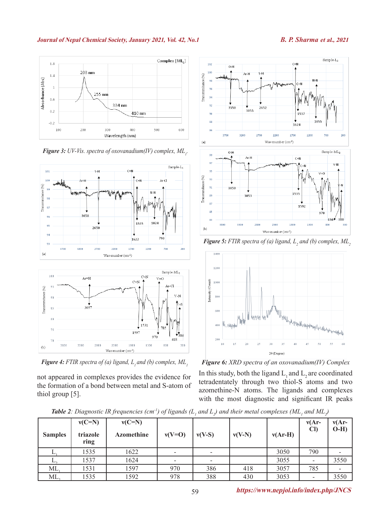#### **Journal of Nepal Chemical Society, January 2021, Vol. 42, No.1** *B. P. Sharma* **et al., 2021**



**Figure 3:** UV-Vis. spectra of oxovanadium(IV) complex,  $ML<sub>l</sub>$ .



*Figure 4: FTIR spectra of (a) ligand, L<sub>1</sub> and (b) complex, ML<sub>1</sub>* 

not appeared in complexes provides the evidence for the formation of a bond between metal and S-atom of thiol group [5].



 $1624$ 

 $1200$ 

 $\overline{70}$ 

1700

 $102$ 

 $100$ 

 $\alpha$ 

 $\overline{9}$ 

 $94$ 

 $^{92}$ 

٩ñ  $88$ 

 $\overline{3}$ 

Transmmitance (%)

 $0-H$ 

 $\frac{1}{3550}$ 

 $3200$ 

3700



 $2200$ 

2652  $\frac{1}{3055}$ 

270

*Figure 5: FTIR spectra of (a) ligand,*  $L_2$  *and (b) complex, ML***<sub>2</sub>** 



*Figure 6: XRD spectra of an oxovanadium(IV) Complex*

In this study, both the ligand  $L_1$  and  $L_2$  are coordinated tetradentately through two thiol-S atoms and two azomethine-N atoms. The ligands and complexes with the most diagnostic and significant IR peaks

*Table 2: Diagnostic IR frequencies (cm<sup>-1</sup>) of ligands (L<sub>1</sub> and L<sub>2</sub>) and their metal complexes (ML<sub>1</sub> and ML<sub>2</sub>)* 

| <b>Samples</b> | $v(C=N)$<br>triazole<br>ring | $v(C=N)$<br><b>Azomethine</b> | $v(V=O)$ | $v(V-S)$ | $v(V-N)$ | $v(Ar-H)$ | $v(Ar-$<br>$\mathbf{Cl}$ | $v(Ar-$<br>$O-H$ ) |
|----------------|------------------------------|-------------------------------|----------|----------|----------|-----------|--------------------------|--------------------|
|                | 1535                         | 1622                          |          |          |          | 3050      | 790                      |                    |
|                | 1537                         | 1624                          |          |          |          | 3055      |                          | 3550               |
| ML,            | 1531                         | 1597                          | 970      | 386      | 418      | 3057      | 785                      |                    |
| ML             | 1535                         | 1592                          | 978      | 388      | 430      | 3053      |                          | 3550               |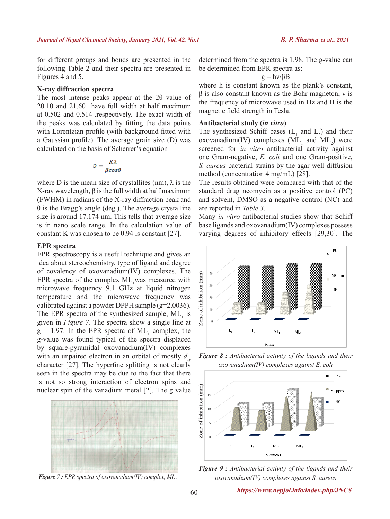for different groups and bonds are presented in the following Table 2 and their spectra are presented in Figures 4 and 5.

#### **X-ray diffraction spectra**

The most intense peaks appear at the 2θ value of 20.10 and 21.60 have full width at half maximum at 0.502 and 0.514 .respectively. The exact width of the peaks was calculated by fitting the data points with Lorentzian profile (with background fitted with a Gaussian profile). The average grain size (D) was calculated on the basis of Scherrer's equation

$$
D = \frac{K\lambda}{\beta\cos\theta}
$$

where D is the mean size of crystallites (nm),  $\lambda$  is the X-ray wavelength, β is the full width at half maximum (FWHM) in radians of the X-ray diffraction peak and θ is the Bragg's angle (deg.). The average crystalline size is around 17.174 nm. This tells that average size is in nano scale range. In the calculation value of constant K was chosen to be 0.94 is constant [27].

### **EPR spectra**

EPR spectroscopy is a useful technique and gives an idea about stereochemistry, type of ligand and degree of covalency of oxovanadium(IV) complexes. The EPR spectra of the complex  $ML_1$  was measured with microwave frequency 9.1 GHz at liquid nitrogen temperature and the microwave frequency was calibrated against a powder DPPH sample (g=2.0036). The EPR spectra of the synthesized sample,  $ML_1$  is given in *Figure 7*. The spectra show a single line at  $g = 1.97$ . In the EPR spectra of ML<sub>1</sub> complex, the g-value was found typical of the spectra displaced by square-pyramidal oxovanadium(IV) complexes with an unpaired electron in an orbital of mostly  $d_{xy}$ character [27]. The hyperfine splitting is not clearly seen in the spectra may be due to the fact that there is not so strong interaction of electron spins and nuclear spin of the vanadium metal [2]. The g value



*Figure 7 : EPR spectra of oxovanadium(IV) complex, ML*<sub>1</sub>

determined from the spectra is 1.98. The g-value can be determined from EPR spectra as:

 $g = h \nu / \beta B$ 

where h is constant known as the plank's constant,  $β$  is also constant known as the Bohr magneton,  $ν$  is the frequency of microwave used in Hz and B is the magnetic field strength in Tesla.

#### **Antibacterial study (***in vitro***)**

The synthesized Schiff bases  $(L_1$  and  $L_2$ ) and their oxovanadium(IV) complexes  $(ML_1$  and  $ML_2)$  were screened for *in vitro* antibacterial activity against one Gram-negative, *E. coli* and one Gram-positive, *S. aureus* bacterial strains by the agar well diffusion method (concentration 4 mg/mL) [28].

The results obtained were compared with that of the standard drug neomycin as a positive control (PC) and solvent, DMSO as a negative control (NC) and are reported in *Table 3*.

Many *in vitro* antibacterial studies show that Schiff base ligands and oxovanadium(IV) complexes possess varying degrees of inhibitory effects [29,30]. The



*Figure 8 : Antibacterial activity of the ligands and their oxovanadium(IV) complexes against E. coli*



*Figure 9 : Antibacterial activity of the ligands and their oxovanadium(IV) complexes against S. aureus*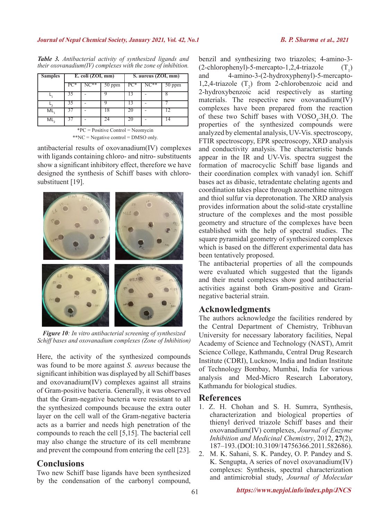| <b>Samples</b>                       | E. coli (ZOI, mm) |  |        | S. aureus (ZOI, mm) |  |        |  |
|--------------------------------------|-------------------|--|--------|---------------------|--|--------|--|
|                                      | PC*               |  | 50 ppm | $PC^*$              |  | 50 ppm |  |
|                                      |                   |  |        |                     |  |        |  |
|                                      | 35                |  |        | 13                  |  |        |  |
| ML,                                  |                   |  |        | 20                  |  |        |  |
| ML                                   |                   |  |        |                     |  |        |  |
| $P*PC = Positive Control = Neomycin$ |                   |  |        |                     |  |        |  |

*Table 3. Antibacterial activity of synthesized ligands and their oxovanadium(IV) complexes with the zone of inhibition.*

\*\*NC = Negative control = DMSO only.

antibacterial results of oxovanadium(IV) complexes with ligands containing chloro- and nitro- substituents show a significant inhibitory effect, therefore we have designed the synthesis of Schiff bases with chlorosubstituent [19].



*Figure 10: In vitro antibacterial screening of synthesized Schiff bases and oxovanadium complexes (Zone of Inhibition)*

Here, the activity of the synthesized compounds was found to be more against *S. aureus* because the significant inhibition was displayed by all Schiff bases and oxovanadium(IV) complexes against all strains of Gram-positive bacteria. Generally, it was observed that the Gram-negative bacteria were resistant to all the synthesized compounds because the extra outer layer on the cell wall of the Gram-negative bacteria acts as a barrier and needs high penetration of the compounds to reach the cell [5,15]. The bacterial cell may also change the structure of its cell membrane and prevent the compound from entering the cell [23].

# **Conclusions**

Two new Schiff base ligands have been synthesized by the condensation of the carbonyl compound,

benzil and synthesizing two triazoles; 4-amino-3-  $(2$ -chlorophenyl)-5-mercapto-1,2,4-triazole<br>and  $4$ -amino-3- $(2)$ -hydroxyphenyl)-5- $(T_{\cdot})$ 4-amino-3-(2-hydroxyphenyl)-5-mercapto-1,2,4-triazole  $(T_2)$  from 2-chlorobenzoic acid and 2-hydroxybenzoic acid respectively as starting materials. The respective new oxovanadium(IV) complexes have been prepared from the reaction of these two Schiff bases with  $VOSO<sub>4</sub>$ .3H<sub>2</sub>O. The properties of the synthesized compounds were analyzed by elemental analysis, UV-Vis. spectroscopy, FTIR spectroscopy, EPR spectroscopy, XRD analysis and conductivity analysis. The characteristic bands appear in the IR and UV-Vis. spectra suggest the formation of macrocyclic Schiff base ligands and their coordination complex with vanadyl ion. Schiff bases act as dibasic, tetradentate chelating agents and coordination takes place through azomethine nitrogen and thiol sulfur via deprotonation. The XRD analysis provides information about the solid-state crystalline structure of the complexes and the most possible geometry and structure of the complexes have been established with the help of spectral studies. The square pyramidal geometry of synthesized complexes which is based on the different experimental data has been tentatively proposed.

The antibacterial properties of all the compounds were evaluated which suggested that the ligands and their metal complexes show good antibacterial activities against both Gram-positive and Gramnegative bacterial strain.

# **Acknowledgments**

The authors acknowledge the facilities rendered by the Central Department of Chemistry, Tribhuvan University for necessary laboratory facilities, Nepal Academy of Science and Technology (NAST), Amrit Science College, Kathmandu, Central Drug Research Institute (CDRI), Lucknow, India and Indian Institute of Technology Bombay, Mumbai, India for various analysis and Med-Micro Research Laboratory, Kathmandu for biological studies.

# **References**

- 1. Z. H. Chohan and S. H. Sumrra, Synthesis, characterization and biological properties of thienyl derived triazole Schiff bases and their oxovanadium(IV) complexes, *Journal of Enzyme Inhibition and Medicinal Chemistry*, 2012, **27**(2), 187–193. (DOI: 10.3109/14756366.2011.582686).
- 2. M. K. Sahani, S. K. Pandey, O. P. Pandey and S. K. Sengupta, A series of novel oxovanadium(IV) complexes: Synthesis, spectral characterization and antimicrobial study, *Journal of Molecular*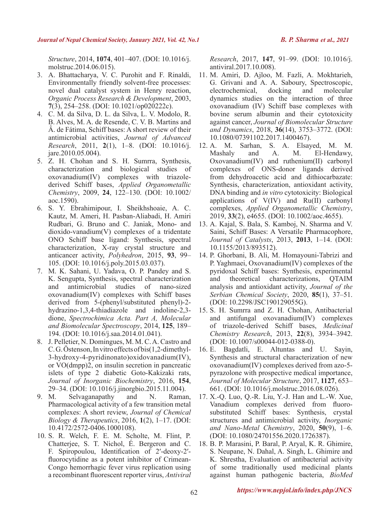*Structure*, 2014, **1074**, 401–407. (DOI: 10.1016/j. molstruc.2014.06.015).

- 3. A. Bhattacharya, V. C. Purohit and F. Rinaldi, Environmentally friendly solvent-free processes: novel dual catalyst system in Henry reaction, *Organic Process Research & Development*, 2003, **7**(3), 254–258. (DOI: 10.1021/op020222c).
- 4. C. M. da Silva, D. L. da Silva, L. V. Modolo, R. B. Alves, M. A. de Resende, C. V. B. Martins and Â. de Fátima, Schiff bases: A short review of their antimicrobial activities, *Journal of Advanced Research*, 2011, **2**(1), 1–8. (DOI: 10.1016/j. jare.2010.05.004).
- 5. Z. H. Chohan and S. H. Sumrra, Synthesis, characterization and biological studies of oxovanadium(IV) complexes with triazolederived Schiff bases, *Applied Organometallic Chemistry*, 2009, **24**, 122–130. (DOI: 10.1002/ aoc.1590).
- 6. S. Y. Ebrahimipour, I. Sheikhshoaie, A. C. Kautz, M. Ameri, H. Pasban-Aliabadi, H. Amiri Rudbari, G. Bruno and C. Janiak, Mono- and dioxido-vanadium(V) complexes of a tridentate ONO Schiff base ligand: Synthesis, spectral characterization, X-ray crystal structure and anticancer activity, *Polyhedron*, 2015, **93**, 99– 105. (DOI: 10.1016/j.poly.2015.03.037).
- 7. M. K. Sahani, U. Yadava, O. P. Pandey and S. K. Sengupta, Synthesis, spectral characterization and antimicrobial studies of nano-sized oxovanadium(IV) complexes with Schiff bases derived from 5-(phenyl/substituted phenyl)-2 hydrazino-1,3,4-thiadiazole and indoline-2,3 dione, *Spectrochimica Acta. Part A, Molecular and Biomolecular Spectroscopy*, 2014, **125**, 189– 194. (DOI: 10.1016/j.saa.2014.01.041).
- 8. J. Pelletier, N. Domingues, M. M. C. A. Castro and C. G. Östenson, In vitro effects of bis(1,2-dimethyl-3-hydroxy-4-pyridinonato)oxidovanadium(IV), or VO(dmpp)2, on insulin secretion in pancreatic islets of type 2 diabetic Goto-Kakizaki rats, *Journal of Inorganic Biochemistry*, 2016, **154**, 29–34. (DOI: 10.1016/j.jinorgbio.2015.11.004).
- 9. M. Selvaganapathy and N. Raman, Pharmacological activity of a few transition metal complexes: A short review, *Journal of Chemical Biology & Therapeutics*, 2016, **1**(2), 1–17. (DOI: 10.4172/2572-0406.1000108).
- 10. S. R. Welch, F. E. M. Scholte, M. Flint, P. Chatterjee, S. T. Nichol, É. Bergeron and C. F. Spiropoulou, Identification of 2′-deoxy-2′ fluorocytidine as a potent inhibitor of Crimean-Congo hemorrhagic fever virus replication using a recombinant fluorescent reporter virus, *Antiviral*

*Research*, 2017, **147**, 91–99. (DOI: 10.1016/j. antiviral.2017.10.008).

- 11. M. Amiri, D. Ajloo, M. Fazli, A. Mokhtarieh, G. Grivani and A. A. Saboury, Spectroscopic, electrochemical, docking and molecular dynamics studies on the interaction of three oxovanadium (IV) Schiff base complexes with bovine serum albumin and their cytotoxicity against cancer, *Journal of Biomolecular Structure and Dynamics*, 2018, **36**(14), 3753–3772. (DOI: 10.1080/07391102.2017.1400467).
- 12. A. M. Sarhan, S. A. Elsayed, M. M. Mashaly and A. M. El-Hendawy, Oxovanadium(IV) and ruthenium(II) carbonyl complexes of ONS-donor ligands derived from dehydroacetic acid and dithiocarbazate: Synthesis, characterization, antioxidant activity, DNA binding and *in vitro* cytotoxicity: Biological applications of V(IV) and Ru(II) carbonyl complexes, *Applied Organometallic Chemistry*, 2019, **33**(2), e4655. (DOI: 10.1002/aoc.4655).
- 13. A. Kajal, S. Bala, S. Kamboj, N. Sharma and V. Saini, Schiff Bases: A Versatile Pharmacophore, *Journal of Catalysts*, 2013, **2013**, 1–14. (DOI: 10.1155/2013/893512).
- 14. P. Ghorbani, B. Ali, M. Homayouni-Tabrizi and P. Yaghmaei, Oxovanadium(IV) complexes of the pyridoxal Schiff bases: Synthesis, experimental and theoretical characterizations, QTAIM analysis and antioxidant activity, *Journal of the Serbian Chemical Society*, 2020, **85**(1), 37–51. (DOI: 10.2298/JSC190129055G).
- 15. S. H. Sumrra and Z. H. Chohan, Antibacterial and antifungal oxovanadium(IV) complexes of triazole-derived Schiff bases, *Medicinal Chemistry Research*, 2013, **22**(8), 3934–3942. (DOI: 10.1007/s00044-012-0388-0).
- 16. E. Bagdatli, E. Altuntas and U. Sayin, Synthesis and structural characterization of new oxovanadium(IV) complexes derived from azo-5 pyrazolone with prospective medical importance, *Journal of Molecular Structure*, 2017, **1127**, 653– 661. (DOI: 10.1016/j.molstruc.2016.08.026).
- 17. X.-Q. Luo, Q.-R. Liu, Y.-J. Han and L.-W. Xue, Vanadium complexes derived from fluorosubstituted Schiff bases: Synthesis, crystal structures and antimicrobial activity, *Inorganic and Nano-Metal Chemistry*, 2020, **50**(9), 1–6. (DOI: 10.1080/24701556.2020.1726387).
- 18. B. P. Marasini, P. Baral, P. Aryal, K. R. Ghimire, S. Neupane, N. Dahal, A. Singh, L. Ghimire and K. Shrestha, Evaluation of antibacterial activity of some traditionally used medicinal plants against human pathogenic bacteria, *BioMed*